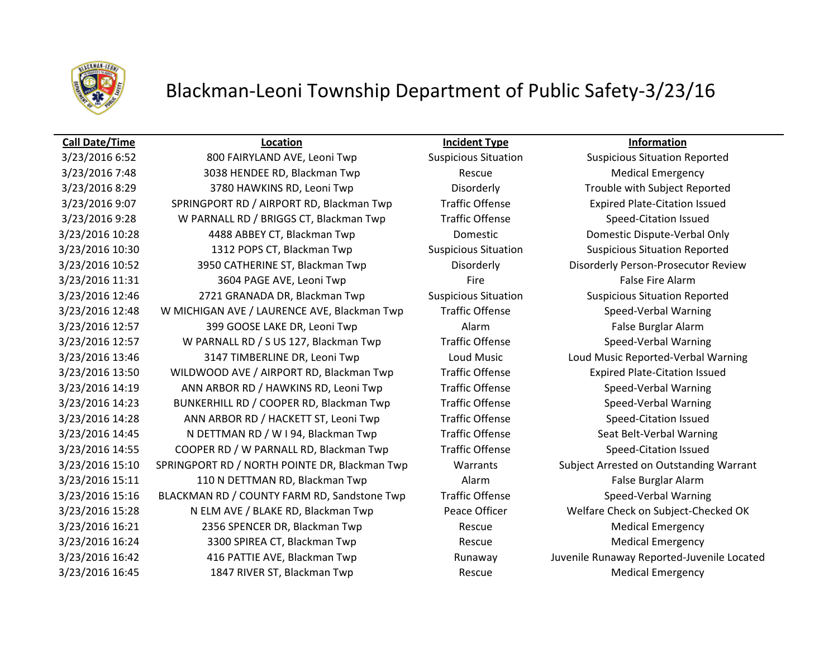

# Blackman-Leoni Township Department of Public Safety-3/23/16

### **Call Date/Time Location Incident Type Information**

3/23/2016 6:52 6:52 800 FAIRYLAND AVE, Leoni Twp Suspicious Situation Suspicious Situation Reported 3/23/2016 7:48 3038 HENDEE RD, Blackman Twp Rescue Medical Emergency 3/23/2016 8:29 3780 HAWKINS RD, Leoni Twp Disorderly Trouble with Subject Reported 3/23/2016 9:07 SPRINGPORT RD / AIRPORT RD, Blackman Twp Traffic Offense Expired Plate-Citation Issued 3/23/2016 9:28 W PARNALL RD / BRIGGS CT, Blackman Twp Traffic Offense Speed-Citation Issued 3/23/2016 10:28 4488 ABBEY CT, Blackman Twp Domestic Domestic Dispute-Verbal Only 3/23/2016 10:30 1312 POPS CT, Blackman Twp Suspicious Situation Suspicious Situation Reported 3/23/2016 10:52 3950 CATHERINE ST, Blackman Twp Disorderly Disorderly Person-Prosecutor Review 3/23/2016 11:31 3604 PAGE AVE, Leoni Twp Fire Fire Fire False Fire Alarm 3/23/2016 12:46 2721 GRANADA DR, Blackman Twp Suspicious Situation Suspicious Situation Reported 3/23/2016 12:48 W MICHIGAN AVE / LAURENCE AVE, Blackman Twp Traffic Offense Speed-Verbal Warning 3/23/2016 12:57 399 GOOSE LAKE DR, Leoni Twp Alarm Alarm Alarm False Burglar Alarm 3/23/2016 12:57 W PARNALL RD / S US 127, Blackman Twp Traffic Offense Speed-Verbal Warning 3/23/2016 13:46 3147 TIMBERLINE DR, Leoni Twp Loud Music Loud Music Reported-Verbal Warning 3/23/2016 13:50 WILDWOOD AVE / AIRPORT RD, Blackman Twp Traffic Offense Expired Plate-Citation Issued 3/23/2016 14:19 ANN ARBOR RD / HAWKINS RD, Leoni Twp Traffic Offense Speed-Verbal Warning 3/23/2016 14:23 BUNKERHILL RD / COOPER RD, Blackman Twp Traffic Offense Speed-Verbal Warning 3/23/2016 14:28 ANN ARBOR RD / HACKETT ST, Leoni Twp Traffic Offense Speed-Citation Issued 3/23/2016 14:45 N DETTMAN RD / W I 94, Blackman Twp Traffic Offense Seat Belt-Verbal Warning 3/23/2016 14:55 COOPER RD / W PARNALL RD, Blackman Twp Traffic Offense Speed-Citation Issued 3/23/2016 15:10 SPRINGPORT RD / NORTH POINTE DR, Blackman Twp Warrants Subject Arrested on Outstanding Warrant 3/23/2016 15:11 110 N DETTMAN RD, Blackman Twp **Alarm** Alarm **False Burglar Alarm** 3/23/2016 15:16 BLACKMAN RD / COUNTY FARM RD, Sandstone Twp Traffic Offense Speed-Verbal Warning 3/23/2016 15:28 N ELM AVE / BLAKE RD, Blackman Twp Peace Officer Welfare Check on Subject-Checked OK 3/23/2016 16:21 2356 SPENCER DR, Blackman Twp Rescue Medical Emergency 3/23/2016 16:24 3300 SPIREA CT, Blackman Twp **Rescue** Rescue Medical Emergency 3/23/2016 16:42 416 PATTIE AVE, Blackman Twp Runaway Juvenile Runaway Reported-Juvenile Located 3/23/2016 16:45 1847 RIVER ST, Blackman Twp Rescue Medical Emergency